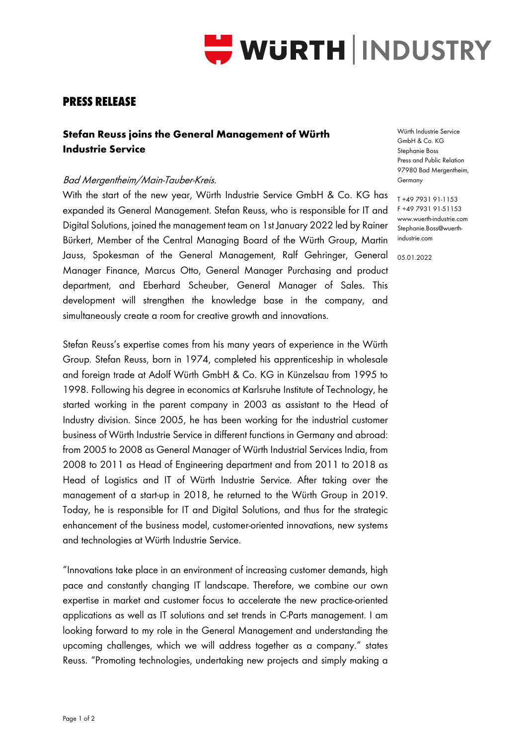

## **PRESS RELEASE**

## **Stefan Reuss joins the General Management of Würth Industrie Service**

## Bad Mergentheim/Main-Tauber-Kreis.

With the start of the new year, Würth Industrie Service GmbH & Co. KG has expanded its General Management. Stefan Reuss, who is responsible for IT and Digital Solutions, joined the management team on 1st January 2022 led by Rainer Bürkert, Member of the Central Managing Board of the Würth Group, Martin Jauss, Spokesman of the General Management, Ralf Gehringer, General 05.01.2022Manager Finance, Marcus Otto, General Manager Purchasing and product department, and Eberhard Scheuber, General Manager of Sales. This development will strengthen the knowledge base in the company, and simultaneously create a room for creative growth and innovations.

Stefan Reuss's expertise comes from his many years of experience in the Würth Group. Stefan Reuss, born in 1974, completed his apprenticeship in wholesale and foreign trade at Adolf Würth GmbH & Co. KG in Künzelsau from 1995 to 1998. Following his degree in economics at Karlsruhe Institute of Technology, he started working in the parent company in 2003 as assistant to the Head of Industry division. Since 2005, he has been working for the industrial customer business of Würth Industrie Service in different functions in Germany and abroad: from 2005 to 2008 as General Manager of Würth Industrial Services India, from 2008 to 2011 as Head of Engineering department and from 2011 to 2018 as Head of Logistics and IT of Würth Industrie Service. After taking over the management of a start-up in 2018, he returned to the Würth Group in 2019. Today, he is responsible for IT and Digital Solutions, and thus for the strategic enhancement of the business model, customer-oriented innovations, new systems and technologies at Würth Industrie Service.

"Innovations take place in an environment of increasing customer demands, high pace and constantly changing IT landscape. Therefore, we combine our own expertise in market and customer focus to accelerate the new practice-oriented applications as well as IT solutions and set trends in C-Parts management. I am looking forward to my role in the General Management and understanding the upcoming challenges, which we will address together as a company." states Reuss. "Promoting technologies, undertaking new projects and simply making a

Würth Industrie Service GmbH & Co. KG Stephanie Boss Press and Public Relation 97980 Bad Mergentheim, Germany

T +49 7931 91-1153 F +49 7931 91-51153 www.wuerth-industrie.com Stephanie.Boss@wuerthindustrie.com